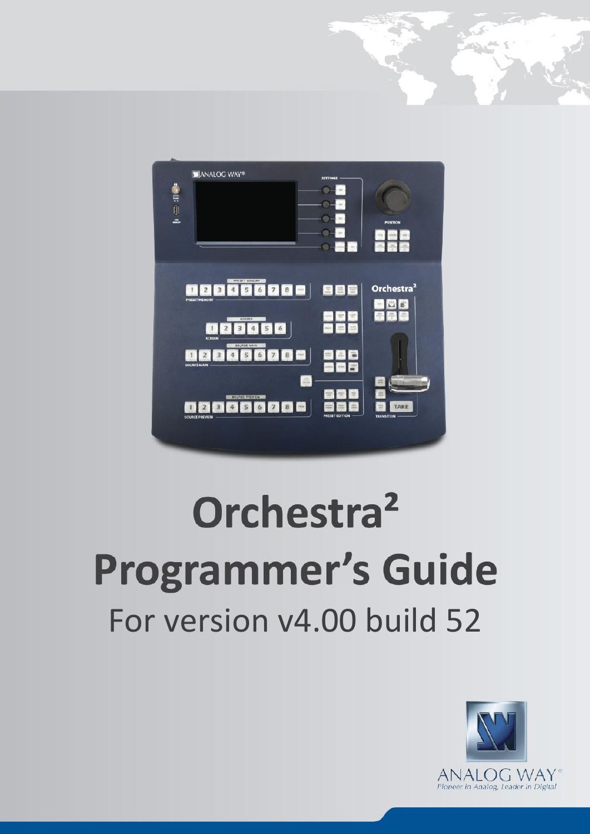

**PROGRAMMER'S GUIDE FOR ORCHESTRA<sup>2</sup>**

# Orchestra<sup>2</sup> **Programmer's Guide** For version v4.00 build 52



**v 14.00 build 52**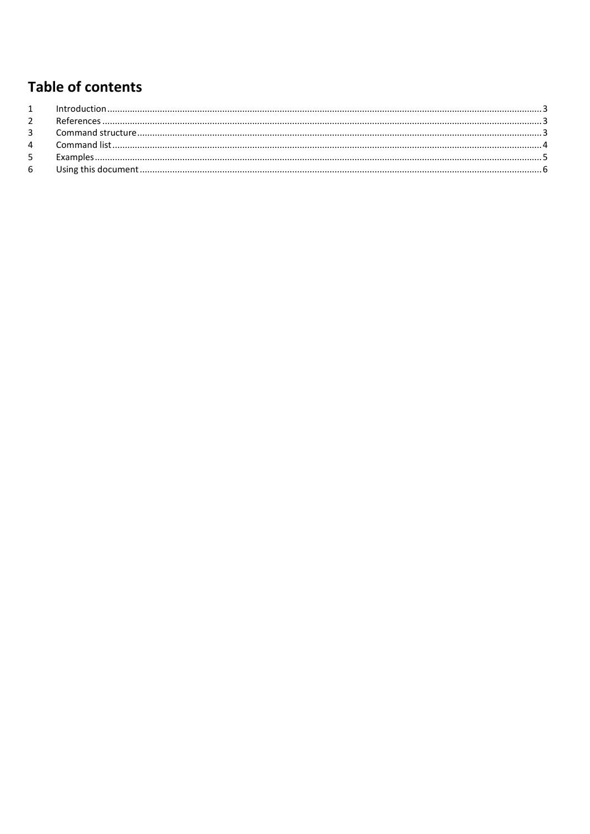### **Table of contents**

| $\overline{2}$ |  |
|----------------|--|
| $\overline{3}$ |  |
| 4              |  |
| 5 <sup>1</sup> |  |
| 6              |  |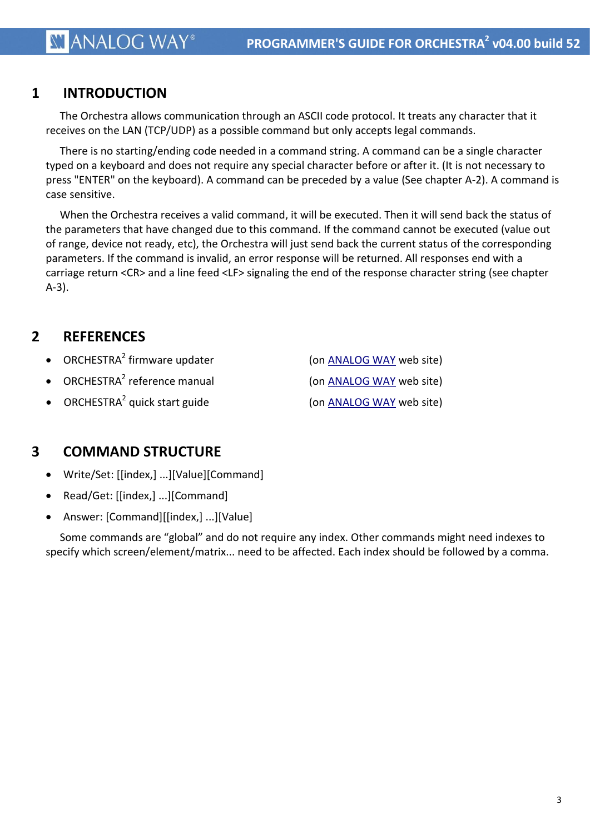#### <span id="page-2-0"></span>**1 INTRODUCTION**

The Orchestra allows communication through an ASCII code protocol. It treats any character that it receives on the LAN (TCP/UDP) as a possible command but only accepts legal commands.

There is no starting/ending code needed in a command string. A command can be a single character typed on a keyboard and does not require any special character before or after it. (It is not necessary to press "ENTER" on the keyboard). A command can be preceded by a value (See chapter A-2). A command is case sensitive.

When the Orchestra receives a valid command, it will be executed. Then it will send back the status of the parameters that have changed due to this command. If the command cannot be executed (value out of range, device not ready, etc), the Orchestra will just send back the current status of the corresponding parameters. If the command is invalid, an error response will be returned. All responses end with a carriage return <CR> and a line feed <LF> signaling the end of the response character string (see chapter A-3).

#### <span id="page-2-1"></span>**2 REFERENCES**

- ORCHESTRA<sup>2</sup> firmware updater
- ORCHESTRA<sup>2</sup> reference manual

(on [ANALOG WAY](http://www.analogway.com/en/products/event-controllers/orchestra2/#dl) web site)

- (on [ANALOG WAY](http://www.analogway.com/en/products/event-controllers/orchestra2/#dl) web site)
- ORCHESTRA<sup>2</sup> quick start guide

(on **ANALOG WAY** web site)

#### <span id="page-2-2"></span>**3 COMMAND STRUCTURE**

- Write/Set: [[index,] ...][Value][Command]
- Read/Get: [[index,] ...][Command]
- Answer: [Command][[index,] ...][Value]

Some commands are "global" and do not require any index. Other commands might need indexes to specify which screen/element/matrix... need to be affected. Each index should be followed by a comma.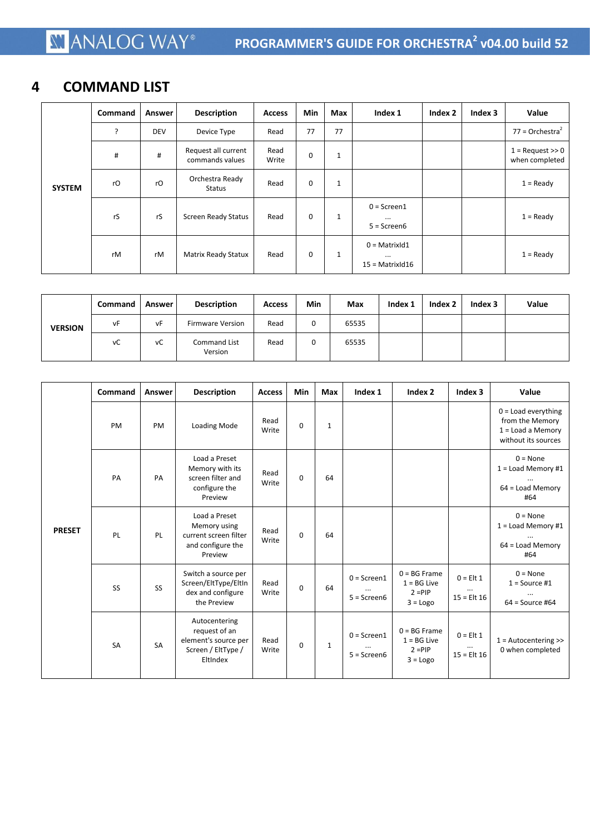#### <span id="page-3-0"></span>**4 COMMAND LIST**

|               | Command | Answer     | <b>Description</b>                     | <b>Access</b> | Min         | Max          | Index 1                                               | Index 2 | Index 3 | Value                                   |
|---------------|---------|------------|----------------------------------------|---------------|-------------|--------------|-------------------------------------------------------|---------|---------|-----------------------------------------|
|               | ?       | <b>DEV</b> | Device Type                            | Read          | 77          | 77           |                                                       |         |         | $77 =$ Orchestra <sup>2</sup>           |
|               | #       | #          | Request all current<br>commands values | Read<br>Write | $\mathbf 0$ | $\mathbf{1}$ |                                                       |         |         | $1 =$ Request $\gg 0$<br>when completed |
| <b>SYSTEM</b> | rO      | rO         | Orchestra Ready<br>Status              | Read          | $\bf{0}$    | $\mathbf{1}$ |                                                       |         |         | $1 =$ Ready                             |
|               | rS      | rS         | <b>Screen Ready Status</b>             | Read          | 0           | 1            | $0 =$ Screen1<br>$\cdots$<br>$5 =$ Screen $6$         |         |         | $1 =$ Ready                             |
|               | rM      | rM         | Matrix Ready Statux                    | Read          | $\mathbf 0$ | $\mathbf{1}$ | $0 =$ Matrix Id 1<br>$\cdots$<br>$15 =$ Matrix d $16$ |         |         | $1 =$ Ready                             |

|                | Command | Answer | <b>Description</b>             | <b>Access</b> | Min | Max   | Index 1 | Index 2 | Index 3 | Value |
|----------------|---------|--------|--------------------------------|---------------|-----|-------|---------|---------|---------|-------|
| <b>VERSION</b> | vF      | vF     | <b>Firmware Version</b>        | Read          | 0   | 65535 |         |         |         |       |
|                | vC      | vC     | <b>Command List</b><br>Version | Read          | 0   | 65535 |         |         |         |       |

|               | Command   | Answer    | <b>Description</b>                                                                       | <b>Access</b> | Min      | Max          | Index 1                           | Index 2                                                    | Index 3                                  | Value                                                                                  |
|---------------|-----------|-----------|------------------------------------------------------------------------------------------|---------------|----------|--------------|-----------------------------------|------------------------------------------------------------|------------------------------------------|----------------------------------------------------------------------------------------|
|               | PM        | PM        | Loading Mode                                                                             | Read<br>Write | $\Omega$ | $\mathbf{1}$ |                                   |                                                            |                                          | $0 =$ Load everything<br>from the Memory<br>$1 =$ Load a Memory<br>without its sources |
|               | PA        | PA        | Load a Preset<br>Memory with its<br>screen filter and<br>configure the<br>Preview        | Read<br>Write | $\Omega$ | 64           |                                   |                                                            |                                          | $0 = None$<br>$1 =$ Load Memory #1<br>64 = Load Memory<br>#64                          |
| <b>PRESET</b> | PL        | PL        | Load a Preset<br>Memory using<br>current screen filter<br>and configure the<br>Preview   | Read<br>Write | $\Omega$ | 64           |                                   |                                                            |                                          | $0 = None$<br>$1 =$ Load Memory #1<br>$64 =$ Load Memory<br>#64                        |
|               | SS        | SS        | Switch a source per<br>Screen/EltType/EltIn<br>dex and configure<br>the Preview          | Read<br>Write | $\Omega$ | 64           | $0 =$ Screen1<br>$5 =$ Screen $6$ | $0 = BG$ Frame<br>$1 = BG$ Live<br>$2 = PIP$<br>$3 = Logo$ | $0 =$ Elt 1<br>$\cdots$<br>$15 =$ Elt 16 | $0 = None$<br>$1 =$ Source #1<br>$\cdots$<br>$64 = Source #64$                         |
|               | <b>SA</b> | <b>SA</b> | Autocentering<br>request of an<br>element's source per<br>Screen / EltType /<br>EltIndex | Read<br>Write | $\Omega$ | $\mathbf{1}$ | $0 =$ Screen1<br>$5 =$ Screen $6$ | $0 = BG$ Frame<br>$1 = BG$ Live<br>$2 = PIP$<br>$3 = Logo$ | $0 =$ Elt 1<br>$15 =$ Elt 16             | $1 =$ Autocentering $\gg$<br>0 when completed                                          |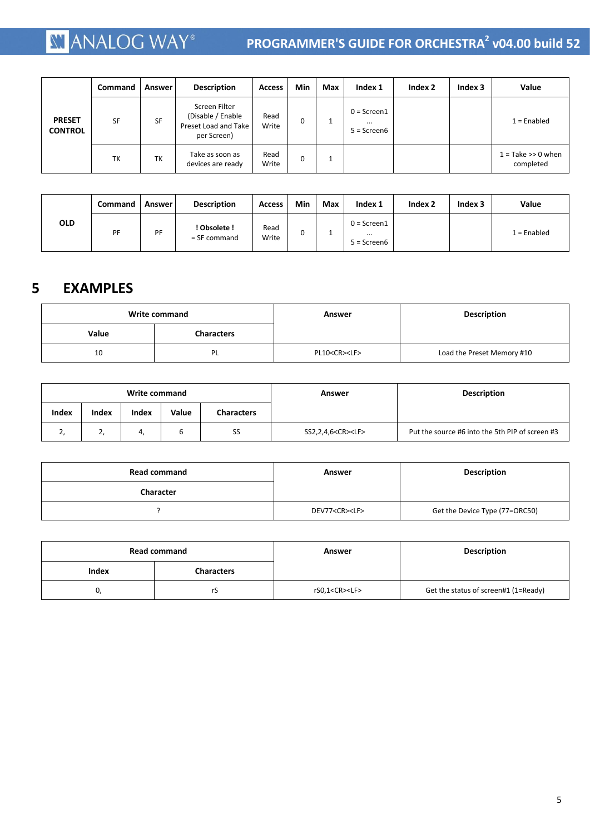## **XI ANALOG WAY**®

#### **PROGRAMMER'S GUIDE FOR ORCHESTRA<sup>2</sup> v04.00 build 52**

|                                 | Command   | Answer    | <b>Description</b>                                                        | <b>Access</b> | Min      | Max | Index 1                                       | Index 2 | Index 3 | Value                             |
|---------------------------------|-----------|-----------|---------------------------------------------------------------------------|---------------|----------|-----|-----------------------------------------------|---------|---------|-----------------------------------|
| <b>PRESET</b><br><b>CONTROL</b> | <b>SF</b> | <b>SF</b> | Screen Filter<br>(Disable / Enable<br>Preset Load and Take<br>per Screen) | Read<br>Write | $\Omega$ |     | $0 =$ Screen1<br>$\cdots$<br>$5 =$ Screen $6$ |         |         | $1 =$ Enabled                     |
|                                 | TK        | TK        | Take as soon as<br>devices are ready                                      | Read<br>Write | $\Omega$ |     |                                               |         |         | $1 =$ Take >> 0 when<br>completed |

|            | <b>Command</b> | <b>Answer</b> | <b>Description</b>             | <b>Access</b> | Min | Max | Index 1                                           | Index 2 | Index 3 | Value       |
|------------|----------------|---------------|--------------------------------|---------------|-----|-----|---------------------------------------------------|---------|---------|-------------|
| <b>OLD</b> | PF             | PF            | ! Obsolete !<br>$=$ SF command | Read<br>Write |     |     | $0 = S$ creen $1$<br>$\cdots$<br>$5 =$ Screen $6$ |         |         | 1 = Enabled |

#### <span id="page-4-0"></span>**5 EXAMPLES**

|       | Write command     | Answer                  | <b>Description</b>         |
|-------|-------------------|-------------------------|----------------------------|
| Value | <b>Characters</b> |                         |                            |
| 10    | PL                | PL10 <cr><lf></lf></cr> | Load the Preset Memory #10 |

| Write command |       |       |       |                   | Answer                       | <b>Description</b>                              |
|---------------|-------|-------|-------|-------------------|------------------------------|-------------------------------------------------|
| <b>Index</b>  | Index | Index | Value | <b>Characters</b> |                              |                                                 |
| ٠,            | ۷,    | 4,    | ь     | SS                | SS2,2,4,6 <cr><lf></lf></cr> | Put the source #6 into the 5th PIP of screen #3 |

| <b>Read command</b> | Answer                   | <b>Description</b>             |
|---------------------|--------------------------|--------------------------------|
| <b>Character</b>    |                          |                                |
|                     | DEV77 <cr><lf></lf></cr> | Get the Device Type (77=ORC50) |

|       | <b>Read command</b> | Answer                   | <b>Description</b>                   |
|-------|---------------------|--------------------------|--------------------------------------|
| Index | <b>Characters</b>   |                          |                                      |
|       | rs                  | rS0,1 <cr><lf></lf></cr> | Get the status of screen#1 (1=Ready) |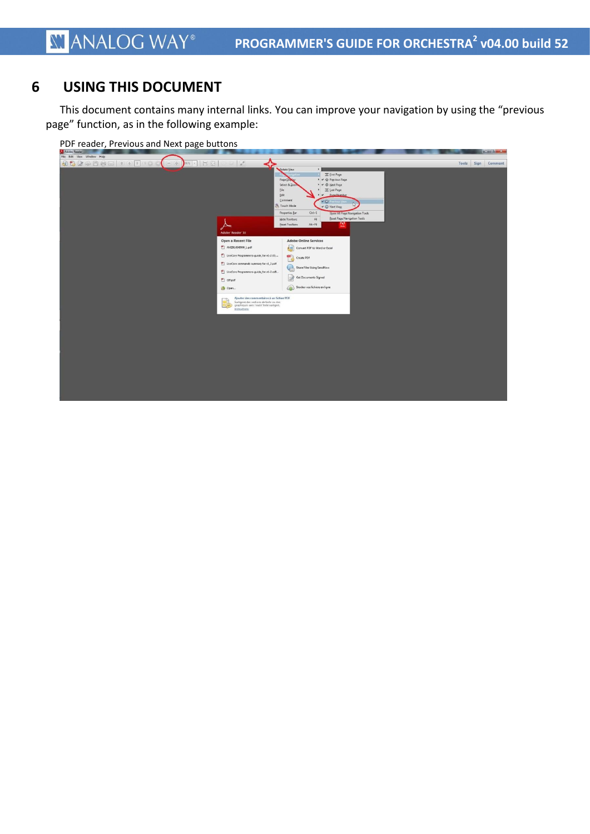#### <span id="page-5-0"></span>**6 USING THIS DOCUMENT**

This document contains many internal links. You can improve your navigation by using the "previous page" function, as in the following example:

| PDF reader, Previous and Next page buttons                                                                                                                                                                                                                                                                                                                                                                                                                                                                                                                                |                                                                                                                                                                                                                                                                                                                                                                                                                                                                                                                     |
|---------------------------------------------------------------------------------------------------------------------------------------------------------------------------------------------------------------------------------------------------------------------------------------------------------------------------------------------------------------------------------------------------------------------------------------------------------------------------------------------------------------------------------------------------------------------------|---------------------------------------------------------------------------------------------------------------------------------------------------------------------------------------------------------------------------------------------------------------------------------------------------------------------------------------------------------------------------------------------------------------------------------------------------------------------------------------------------------------------|
| Adobe Reader                                                                                                                                                                                                                                                                                                                                                                                                                                                                                                                                                              | $-$ and $-$ 3                                                                                                                                                                                                                                                                                                                                                                                                                                                                                                       |
| File Edit View Window Help                                                                                                                                                                                                                                                                                                                                                                                                                                                                                                                                                |                                                                                                                                                                                                                                                                                                                                                                                                                                                                                                                     |
| 00000000000000<br>✦<br>DOS - E<br>$\circ$ $\circ$ $\circ$<br>$(-)$ $($<br>Rotate View<br>Page Duple<br>Select & Zoo<br>File<br>Edit<br>Comment<br><sup>5</sup> Touch Mode<br>Properties Bar<br>Adobe Reader XI<br>Open a Recent File<br>AM29LV640MH_L.pdf<br>LiveCore Programmers-guide_for-v1-2-33<br>LiveCore commands summary for v1_2.pdf<br>LiveCore Programmers-guide_for-v1-2-xxB<br>$\Box$ GIT.pdf<br>Open<br>Ajouter des commentaires à un fichier PDF<br>Surlignez des sections de texte ou des<br>graphiques avec l'outil Texte surligné.<br>⋐<br>Instructions | Sign<br>Tools<br>Comment<br>Eirst Page<br>Previous Page<br>$\rightarrow$<br><b>B</b> Next Page<br>$\frac{1}{2}$<br>E Last Page<br>Pane Mumber<br>$\cdot$<br>↓ © Next View<br>$Ctrl + E$<br>Show All Page Navigation Tools<br><b>Beset Page Navigation Tools</b><br>F8<br>Hide Toolbars<br>743<br>$Alt + FB$<br>Reset Toolbars<br><b>Adobe Online Services</b><br>Convert PDF to Word or Excel<br>$\blacksquare$<br>Create PDF<br>Share Files Using SendNow<br>Get Documents Signed<br>Stocker vos fichiers en ligne |